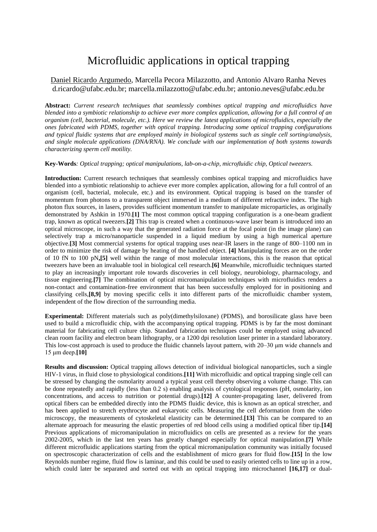## Microfluidic applications in optical trapping

## Daniel Ricardo Argumedo, Marcella Pecora Milazzotto, and Antonio Alvaro Ranha Neves [d.ricardo@ufabc.edu.br;](mailto:d.ricardo@ufabc.edu.br) [marcella.milazzotto@ufabc.edu.br;](mailto:marcella.milazzotto@ufabc.edu.br) [antonio.neves@ufabc.edu.br](mailto:antonio.neves@ufabc.edu.br)

**Abstract:** *Current research techniques that seamlessly combines optical trapping and microfluidics have blended into a symbiotic relationship to achieve ever more complex application, allowing for a full control of an organism (cell, bacterial, molecule, etc.). Here we review the latest applications of microfluidics, especially the ones fabricated with PDMS, together with optical trapping. Introducing some optical trapping configurations and typical fluidic systems that are employed mainly in biological systems such as single cell sorting/analysis, and single molecule applications (DNA/RNA). We conclude with our implementation of both systems towards characterizing sperm cell motility.*

**Key-Words***: Optical trapping; optical manipulations, lab-on-a-chip, microfluidic chip, Optical tweezers.* 

**Introduction:** Current research techniques that seamlessly combines optical trapping and microfluidics have blended into a symbiotic relationship to achieve ever more complex application, allowing for a full control of an organism (cell, bacterial, molecule, etc.) and its environment. Optical trapping is based on the transfer of momentum from photons to a transparent object immersed in a medium of different refractive index. The high photon flux sources, in lasers, provides sufficient momentum transfer to manipulate microparticles, as originally demonstrated by Ashkin in 1970.**[1]** The most common optical trapping configuration is a one-beam gradient trap, known as optical tweezers.**[2]** This trap is created when a continuous-wave laser beam is introduced into an optical microscope, in such a way that the generated radiation force at the focal point (in the image plane) can selectively trap a micro/nanoparticle suspended in a liquid medium by using a high numerical aperture objective.**[3]** Most commercial systems for optical trapping uses near-IR lasers in the range of 800–1100 nm in order to minimize the risk of damage by heating of the handled object. **[4]** Manipulating forces are on the order of 10 fN to 100 pN**,[5]** well within the range of most molecular interactions, this is the reason that optical tweezers have been an invaluable tool in biological cell research.**[6]** Meanwhile, microfluidic techniques started to play an increasingly important role towards discoveries in cell biology, neurobiology, pharmacology, and tissue engineering.**[7]** The combination of optical micromanipulation techniques with microfluidics renders a non-contact and contamination-free environment that has been successfully employed for in positioning and classifying cells,**[8,9]** by moving specific cells it into different parts of the microfluidic chamber system, independent of the flow direction of the surrounding media.

**Experimental:** Different materials such as poly(dimethylsiloxane) (PDMS), and borosilicate glass have been used to build a microfluidic chip, with the accompanying optical trapping. PDMS is by far the most dominant material for fabricating cell culture chip. Standard fabrication techniques could be employed using advanced clean room facility and electron beam lithography, or a 1200 dpi resolution laser printer in a standard laboratory. This low-cost approach is used to produce the fluidic channels layout pattern, with 20–30 μm wide channels and 15 μm deep.**[10]**

**Results and discussion:** Optical trapping allows detection of individual biological nanoparticles, such a single HIV-1 virus, in fluid close to physiological conditions.**[11]** With microfluidic and optical trapping single cell can be stressed by changing the osmolarity around a typical yeast cell thereby observing a volume change. This can be done repeatedly and rapidly (less than 0.2 s) enabling analysis of cytological responses (pH, osmolarity, ion concentrations, and access to nutrition or potential drugs).**[12]** A counter-propagating laser, delivered from optical fibers can be embedded directly into the PDMS fluidic device, this is known as an optical stretcher, and has been applied to stretch erythrocyte and eukaryotic cells. Measuring the cell deformation from the video microscopy, the measurements of cytoskeletal elasticity can be determined.**[13]** This can be compared to an alternate approach for measuring the elastic properties of red blood cells using a modified optical fiber tip.**[14]** Previous applications of micromanipulation in microfluidics on cells are presented as a review for the years 2002-2005, which in the last ten years has greatly changed especially for optical manipulation.**[7]** While different microfluidic applications starting from the optical micromanipulation community was initially focused on spectroscopic characterization of cells and the establishment of micro gears for fluid flow.**[15]** In the low Reynolds number regime, fluid flow is laminar, and this could be used to easily oriented cells to line up in a row, which could later be separated and sorted out with an optical trapping into microchannel **[16,17]** or dual